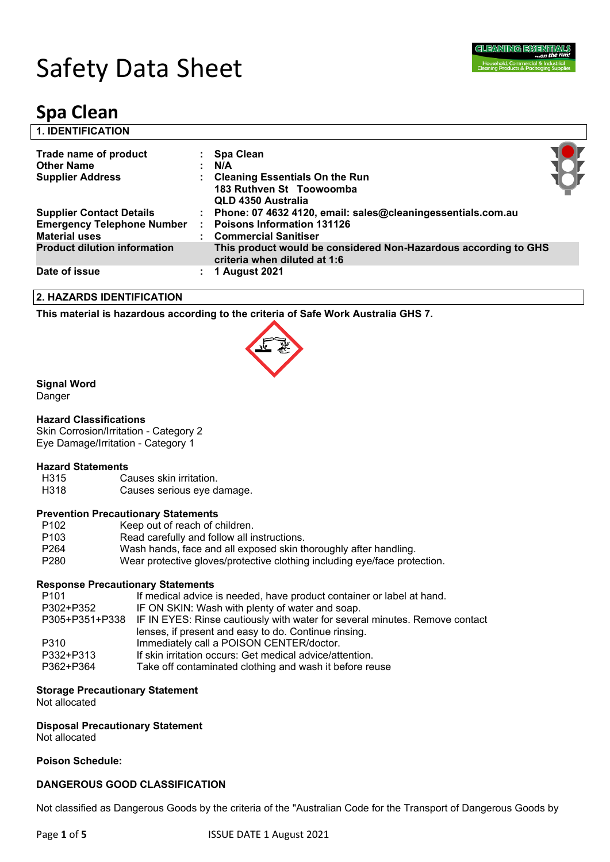

| <b>1. IDENTIFICATION</b>                                                                     |                                                                                                                                                                                          |  |
|----------------------------------------------------------------------------------------------|------------------------------------------------------------------------------------------------------------------------------------------------------------------------------------------|--|
| Trade name of product<br><b>Other Name</b><br><b>Supplier Address</b>                        | : Spa Clean<br>N/A<br><b>Cleaning Essentials On the Run</b>                                                                                                                              |  |
| <b>Supplier Contact Details</b><br><b>Emergency Telephone Number</b><br><b>Material uses</b> | 183 Ruthven St Toowoomba<br><b>QLD 4350 Australia</b><br>Phone: 07 4632 4120, email: sales@cleaningessentials.com.au<br><b>Poisons Information 131126</b><br><b>Commercial Sanitiser</b> |  |
| <b>Product dilution information</b>                                                          | This product would be considered Non-Hazardous according to GHS<br>criteria when diluted at 1:6                                                                                          |  |
| Date of issue                                                                                | <b>1 August 2021</b>                                                                                                                                                                     |  |

#### **2. HAZARDS IDENTIFICATION**

**This material is hazardous according to the criteria of Safe Work Australia GHS 7.**



# **Signal Word**

Danger

# **Hazard Classifications**

Skin Corrosion/Irritation - Category 2 Eye Damage/Irritation - Category 1

# **Hazard Statements**

H315 Causes skin irritation.<br>
H318 Causes serious eve d Causes serious eye damage.

# **Prevention Precautionary Statements**

| P <sub>102</sub> | Keep out of reach of children.                                            |  |  |  |
|------------------|---------------------------------------------------------------------------|--|--|--|
| P <sub>103</sub> | Read carefully and follow all instructions.                               |  |  |  |
| P <sub>264</sub> | Wash hands, face and all exposed skin thoroughly after handling.          |  |  |  |
| P <sub>280</sub> | Wear protective gloves/protective clothing including eye/face protection. |  |  |  |
|                  |                                                                           |  |  |  |

# **Response Precautionary Statements**

| P <sub>101</sub> | If medical advice is needed, have product container or label at hand.                      |
|------------------|--------------------------------------------------------------------------------------------|
| P302+P352        | IF ON SKIN: Wash with plenty of water and soap.                                            |
|                  | P305+P351+P338 IF IN EYES: Rinse cautiously with water for several minutes. Remove contact |
|                  | lenses, if present and easy to do. Continue rinsing.                                       |
| P310             | Immediately call a POISON CENTER/doctor.                                                   |
| P332+P313        | If skin irritation occurs: Get medical advice/attention.                                   |
| P362+P364        | Take off contaminated clothing and wash it before reuse                                    |
|                  |                                                                                            |

#### **Storage Precautionary Statement**

Not allocated

# **Disposal Precautionary Statement**

Not allocated

#### **Poison Schedule:**

# **DANGEROUS GOOD CLASSIFICATION**

Not classified as Dangerous Goods by the criteria of the "Australian Code for the Transport of Dangerous Goods by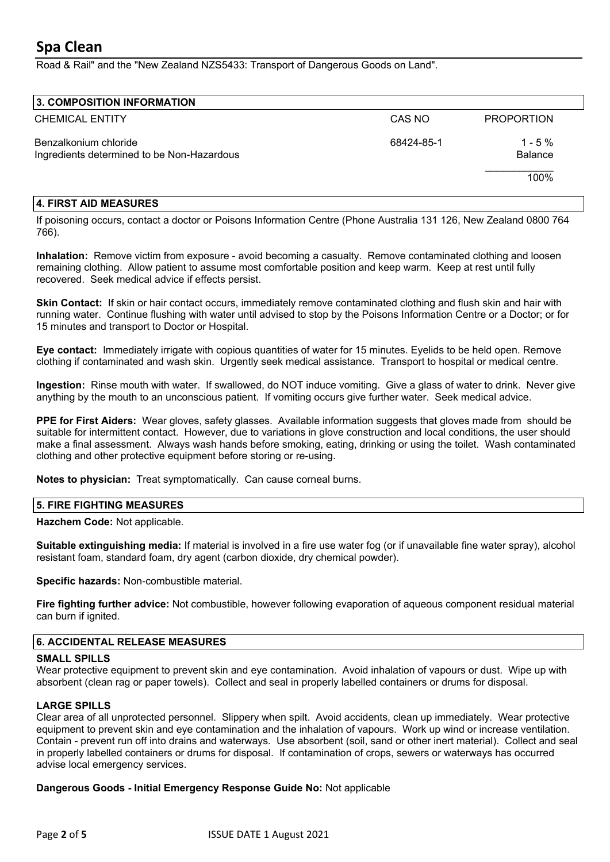Road & Rail" and the "New Zealand NZS5433: Transport of Dangerous Goods on Land".

| 3. COMPOSITION INFORMATION                                          |            |                              |
|---------------------------------------------------------------------|------------|------------------------------|
| <b>CHEMICAL ENTITY</b>                                              | CAS NO     | <b>PROPORTION</b>            |
| Benzalkonium chloride<br>Ingredients determined to be Non-Hazardous | 68424-85-1 | $1 - 5 \%$<br><b>Balance</b> |
|                                                                     |            | 100%                         |

#### **4. FIRST AID MEASURES**

If poisoning occurs, contact a doctor or Poisons Information Centre (Phone Australia 131 126, New Zealand 0800 764 766).

**Inhalation:** Remove victim from exposure - avoid becoming a casualty. Remove contaminated clothing and loosen remaining clothing. Allow patient to assume most comfortable position and keep warm. Keep at rest until fully recovered. Seek medical advice if effects persist.

**Skin Contact:** If skin or hair contact occurs, immediately remove contaminated clothing and flush skin and hair with running water. Continue flushing with water until advised to stop by the Poisons Information Centre or a Doctor; or for 15 minutes and transport to Doctor or Hospital.

**Eye contact:** Immediately irrigate with copious quantities of water for 15 minutes. Eyelids to be held open. Remove clothing if contaminated and wash skin. Urgently seek medical assistance. Transport to hospital or medical centre.

**Ingestion:** Rinse mouth with water. If swallowed, do NOT induce vomiting. Give a glass of water to drink. Never give anything by the mouth to an unconscious patient. If vomiting occurs give further water. Seek medical advice.

**PPE for First Aiders:** Wear gloves, safety glasses. Available information suggests that gloves made from should be suitable for intermittent contact. However, due to variations in glove construction and local conditions, the user should make a final assessment. Always wash hands before smoking, eating, drinking or using the toilet. Wash contaminated clothing and other protective equipment before storing or re-using.

**Notes to physician:** Treat symptomatically. Can cause corneal burns.

# **5. FIRE FIGHTING MEASURES**

**Hazchem Code:** Not applicable.

**Suitable extinguishing media:** If material is involved in a fire use water fog (or if unavailable fine water spray), alcohol resistant foam, standard foam, dry agent (carbon dioxide, dry chemical powder).

**Specific hazards:** Non-combustible material.

**Fire fighting further advice:** Not combustible, however following evaporation of aqueous component residual material can burn if ignited.

#### **6. ACCIDENTAL RELEASE MEASURES**

#### **SMALL SPILLS**

Wear protective equipment to prevent skin and eye contamination. Avoid inhalation of vapours or dust. Wipe up with absorbent (clean rag or paper towels). Collect and seal in properly labelled containers or drums for disposal.

#### **LARGE SPILLS**

Clear area of all unprotected personnel. Slippery when spilt. Avoid accidents, clean up immediately. Wear protective equipment to prevent skin and eye contamination and the inhalation of vapours. Work up wind or increase ventilation. Contain - prevent run off into drains and waterways. Use absorbent (soil, sand or other inert material). Collect and seal in properly labelled containers or drums for disposal. If contamination of crops, sewers or waterways has occurred advise local emergency services.

**Dangerous Goods - Initial Emergency Response Guide No:** Not applicable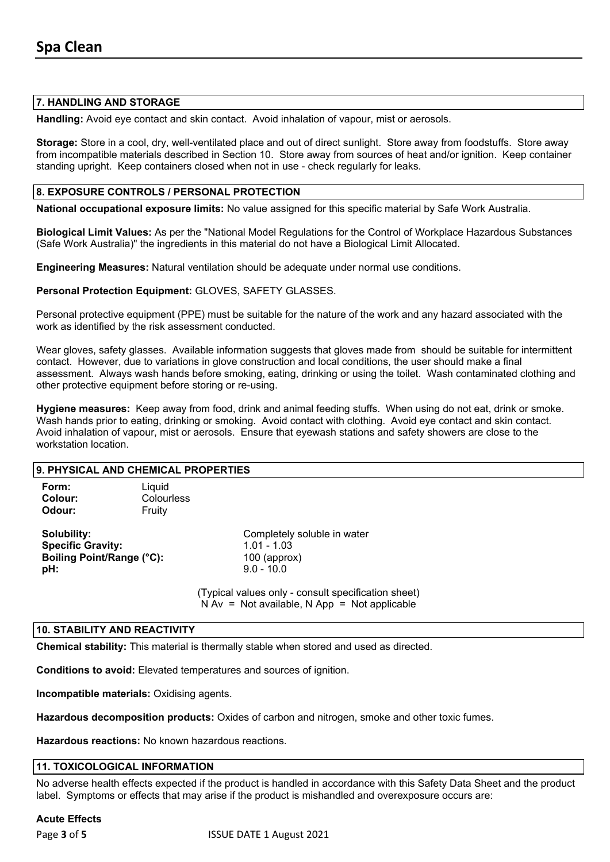#### **7. HANDLING AND STORAGE**

**Handling:** Avoid eye contact and skin contact. Avoid inhalation of vapour, mist or aerosols.

**Storage:** Store in a cool, dry, well-ventilated place and out of direct sunlight. Store away from foodstuffs. Store away from incompatible materials described in Section 10. Store away from sources of heat and/or ignition. Keep container standing upright. Keep containers closed when not in use - check regularly for leaks.

# **8. EXPOSURE CONTROLS / PERSONAL PROTECTION**

**National occupational exposure limits:** No value assigned for this specific material by Safe Work Australia.

**Biological Limit Values:** As per the "National Model Regulations for the Control of Workplace Hazardous Substances (Safe Work Australia)" the ingredients in this material do not have a Biological Limit Allocated.

**Engineering Measures:** Natural ventilation should be adequate under normal use conditions.

**Personal Protection Equipment:** GLOVES, SAFETY GLASSES.

Personal protective equipment (PPE) must be suitable for the nature of the work and any hazard associated with the work as identified by the risk assessment conducted.

Wear gloves, safety glasses. Available information suggests that gloves made from should be suitable for intermittent contact. However, due to variations in glove construction and local conditions, the user should make a final assessment. Always wash hands before smoking, eating, drinking or using the toilet. Wash contaminated clothing and other protective equipment before storing or re-using.

**Hygiene measures:** Keep away from food, drink and animal feeding stuffs. When using do not eat, drink or smoke. Wash hands prior to eating, drinking or smoking. Avoid contact with clothing. Avoid eye contact and skin contact. Avoid inhalation of vapour, mist or aerosols. Ensure that eyewash stations and safety showers are close to the workstation location.

#### **9. PHYSICAL AND CHEMICAL PROPERTIES**

| Form:<br>Colour:<br>Odour: | Liquid<br>Colourless<br>Fruity |                             |
|----------------------------|--------------------------------|-----------------------------|
| Solubility:                |                                | Completely soluble in water |
| <b>Specific Gravity:</b>   |                                | $1.01 - 1.03$               |
| Boiling Point/Range (°C):  |                                | $100$ (approx)              |
| pH:                        |                                | $9.0 - 10.0$                |

(Typical values only - consult specification sheet)  $N Av = Not available, N App = Not applicable$ 

# **10. STABILITY AND REACTIVITY**

**Chemical stability:** This material is thermally stable when stored and used as directed.

**Conditions to avoid:** Elevated temperatures and sources of ignition.

**Incompatible materials:** Oxidising agents.

**Hazardous decomposition products:** Oxides of carbon and nitrogen, smoke and other toxic fumes.

**Hazardous reactions:** No known hazardous reactions.

#### **11. TOXICOLOGICAL INFORMATION**

No adverse health effects expected if the product is handled in accordance with this Safety Data Sheet and the product label. Symptoms or effects that may arise if the product is mishandled and overexposure occurs are:

#### **Acute Effects**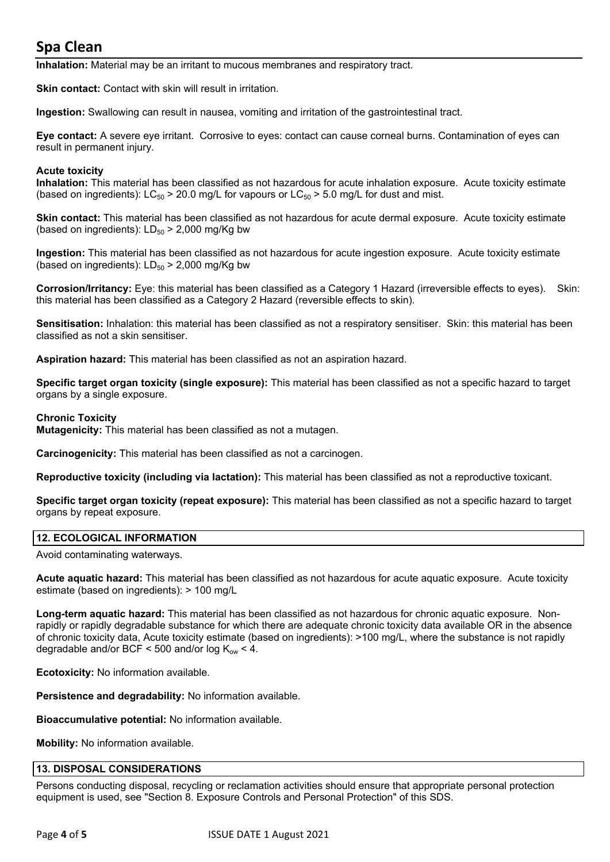**Inhalation:** Material may be an irritant to mucous membranes and respiratory tract.

**Skin contact:** Contact with skin will result in irritation.

**Ingestion:** Swallowing can result in nausea, vomiting and irritation of the gastrointestinal tract.

**Eye contact:** A severe eye irritant. Corrosive to eyes: contact can cause corneal burns. Contamination of eyes can result in permanent injury.

#### **Acute toxicity**

**Inhalation:** This material has been classified as not hazardous for acute inhalation exposure. Acute toxicity estimate (based on ingredients):  $LC_{50}$  > 20.0 mg/L for vapours or  $LC_{50}$  > 5.0 mg/L for dust and mist.

**Skin contact:** This material has been classified as not hazardous for acute dermal exposure. Acute toxicity estimate (based on ingredients):  $LD_{50}$  > 2,000 mg/Kg bw

**Ingestion:** This material has been classified as not hazardous for acute ingestion exposure. Acute toxicity estimate (based on ingredients):  $LD_{50}$  > 2,000 mg/Kg bw

**Corrosion/Irritancy:** Eye: this material has been classified as a Category 1 Hazard (irreversible effects to eyes). Skin: this material has been classified as a Category 2 Hazard (reversible effects to skin).

**Sensitisation:** Inhalation: this material has been classified as not a respiratory sensitiser. Skin: this material has been classified as not a skin sensitiser.

**Aspiration hazard:** This material has been classified as not an aspiration hazard.

**Specific target organ toxicity (single exposure):** This material has been classified as not a specific hazard to target organs by a single exposure.

#### **Chronic Toxicity**

**Mutagenicity:** This material has been classified as not a mutagen.

**Carcinogenicity:** This material has been classified as not a carcinogen.

**Reproductive toxicity (including via lactation):** This material has been classified as not a reproductive toxicant.

**Specific target organ toxicity (repeat exposure):** This material has been classified as not a specific hazard to target organs by repeat exposure.

# **12. ECOLOGICAL INFORMATION**

Avoid contaminating waterways.

**Acute aquatic hazard:** This material has been classified as not hazardous for acute aquatic exposure. Acute toxicity estimate (based on ingredients): > 100 mg/L

**Long-term aquatic hazard:** This material has been classified as not hazardous for chronic aquatic exposure. Nonrapidly or rapidly degradable substance for which there are adequate chronic toxicity data available OR in the absence of chronic toxicity data, Acute toxicity estimate (based on ingredients): >100 mg/L, where the substance is not rapidly degradable and/or BCF < 500 and/or log  $K_{ow}$  < 4.

**Ecotoxicity:** No information available.

**Persistence and degradability:** No information available.

**Bioaccumulative potential:** No information available.

**Mobility:** No information available.

#### **13. DISPOSAL CONSIDERATIONS**

Persons conducting disposal, recycling or reclamation activities should ensure that appropriate personal protection equipment is used, see "Section 8. Exposure Controls and Personal Protection" of this SDS.